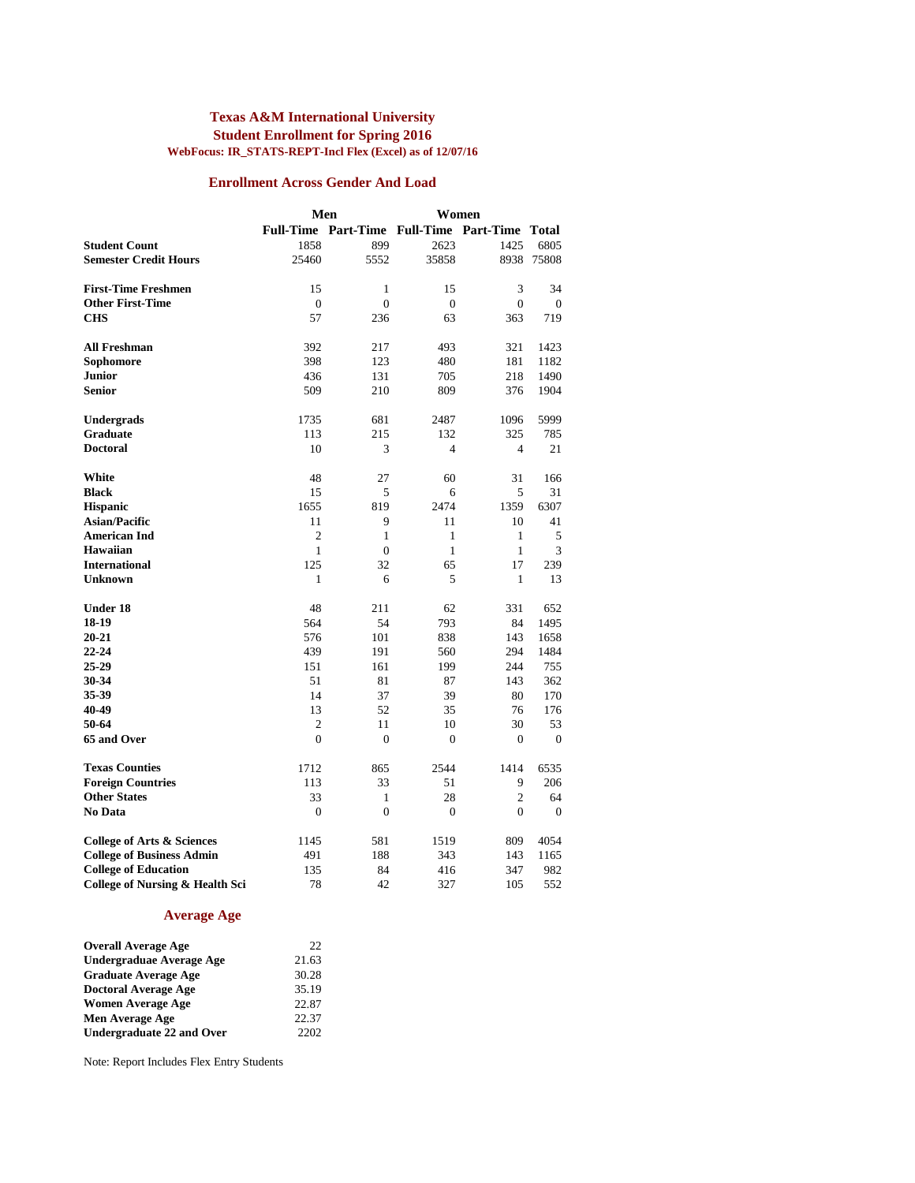#### **Texas A&M International University Student Enrollment for Spring 2016 WebFocus: IR\_STATS-REPT-Incl Flex (Excel) as of 12/07/16**

#### **Enrollment Across Gender And Load**

|                                            |                  | Men                                 | Women            |                |              |
|--------------------------------------------|------------------|-------------------------------------|------------------|----------------|--------------|
|                                            | <b>Full-Time</b> | Part-Time Full-Time Part-Time Total |                  |                |              |
| <b>Student Count</b>                       | 1858             | 899                                 | 2623             | 1425           | 6805         |
| <b>Semester Credit Hours</b>               | 25460            | 5552                                | 35858            | 8938           | 75808        |
|                                            |                  |                                     |                  |                |              |
| <b>First-Time Freshmen</b>                 | 15               | 1                                   | 15               | 3              | 34           |
| <b>Other First-Time</b>                    | $\boldsymbol{0}$ | $\boldsymbol{0}$                    | $\boldsymbol{0}$ | $\mathbf{0}$   | $\mathbf{0}$ |
| <b>CHS</b>                                 | 57               | 236                                 | 63               | 363            | 719          |
|                                            |                  |                                     |                  |                |              |
| <b>All Freshman</b>                        | 392              | 217                                 | 493              | 321            | 1423         |
| Sophomore                                  | 398              | 123                                 | 480              | 181            | 1182         |
| <b>Junior</b>                              | 436              | 131                                 | 705              | 218            | 1490         |
| Senior                                     | 509              | 210                                 | 809              | 376            | 1904         |
| <b>Undergrads</b>                          | 1735             | 681                                 | 2487             | 1096           | 5999         |
| Graduate                                   | 113              | 215                                 | 132              | 325            | 785          |
| <b>Doctoral</b>                            | 10               | 3                                   | $\overline{4}$   | $\overline{4}$ | 21           |
|                                            |                  |                                     |                  |                |              |
| White                                      | 48               | 27                                  | 60               | 31             | 166          |
| <b>Black</b>                               | 15               | 5                                   | 6                | 5              | 31           |
| <b>Hispanic</b>                            | 1655             | 819                                 | 2474             | 1359           | 6307         |
| <b>Asian/Pacific</b>                       | 11               | 9                                   | 11               | 10             | 41           |
| <b>American Ind</b>                        | 2                | 1                                   | 1                | 1              | 5            |
| <b>Hawaiian</b>                            | $\mathbf{1}$     | $\mathbf{0}$                        | $\mathbf{1}$     | $\mathbf{1}$   | 3            |
| <b>International</b>                       | 125              | 32                                  | 65               | 17             | 239          |
| Unknown                                    | 1                | 6                                   | 5                | $\mathbf{1}$   | 13           |
| <b>Under 18</b>                            | 48               | 211                                 | 62               | 331            | 652          |
| 18-19                                      | 564              | 54                                  | 793              | 84             | 1495         |
| 20-21                                      | 576              | 101                                 | 838              | 143            | 1658         |
| $22 - 24$                                  | 439              | 191                                 | 560              | 294            | 1484         |
| 25-29                                      | 151              | 161                                 | 199              | 244            | 755          |
| 30-34                                      | 51               | 81                                  | 87               | 143            | 362          |
| 35-39                                      | 14               | 37                                  | 39               | 80             | 170          |
| 40-49                                      | 13               | 52                                  | 35               | 76             | 176          |
| 50-64                                      | $\overline{2}$   | 11                                  | 10               | 30             | 53           |
| 65 and Over                                | $\overline{0}$   | $\overline{0}$                      | $\mathbf{0}$     | $\mathbf{0}$   | $\mathbf{0}$ |
| <b>Texas Counties</b>                      | 1712             | 865                                 | 2544             | 1414           | 6535         |
| <b>Foreign Countries</b>                   | 113              | 33                                  | 51               | 9              | 206          |
| <b>Other States</b>                        | 33               | $\mathbf{1}$                        | 28               | $\overline{c}$ | 64           |
| No Data                                    | $\mathbf{0}$     | $\overline{0}$                      | $\mathbf{0}$     | $\mathbf{0}$   | $\mathbf{0}$ |
| <b>College of Arts &amp; Sciences</b>      | 1145             | 581                                 | 1519             | 809            | 4054         |
| <b>College of Business Admin</b>           | 491              | 188                                 | 343              | 143            | 1165         |
| <b>College of Education</b>                | 135              | 84                                  | 416              | 347            | 982          |
| <b>College of Nursing &amp; Health Sci</b> | 78               | 42                                  | 327              | 105            | 552          |
|                                            |                  |                                     |                  |                |              |

### **Average Age**

| <b>Overall Average Age</b>      | 22    |
|---------------------------------|-------|
| <b>Undergraduae Average Age</b> | 21.63 |
| <b>Graduate Average Age</b>     | 30.28 |
| <b>Doctoral Average Age</b>     | 35.19 |
| <b>Women Average Age</b>        | 22.87 |
| Men Average Age                 | 22.37 |
| Undergraduate 22 and Over       | 2202  |

Note: Report Includes Flex Entry Students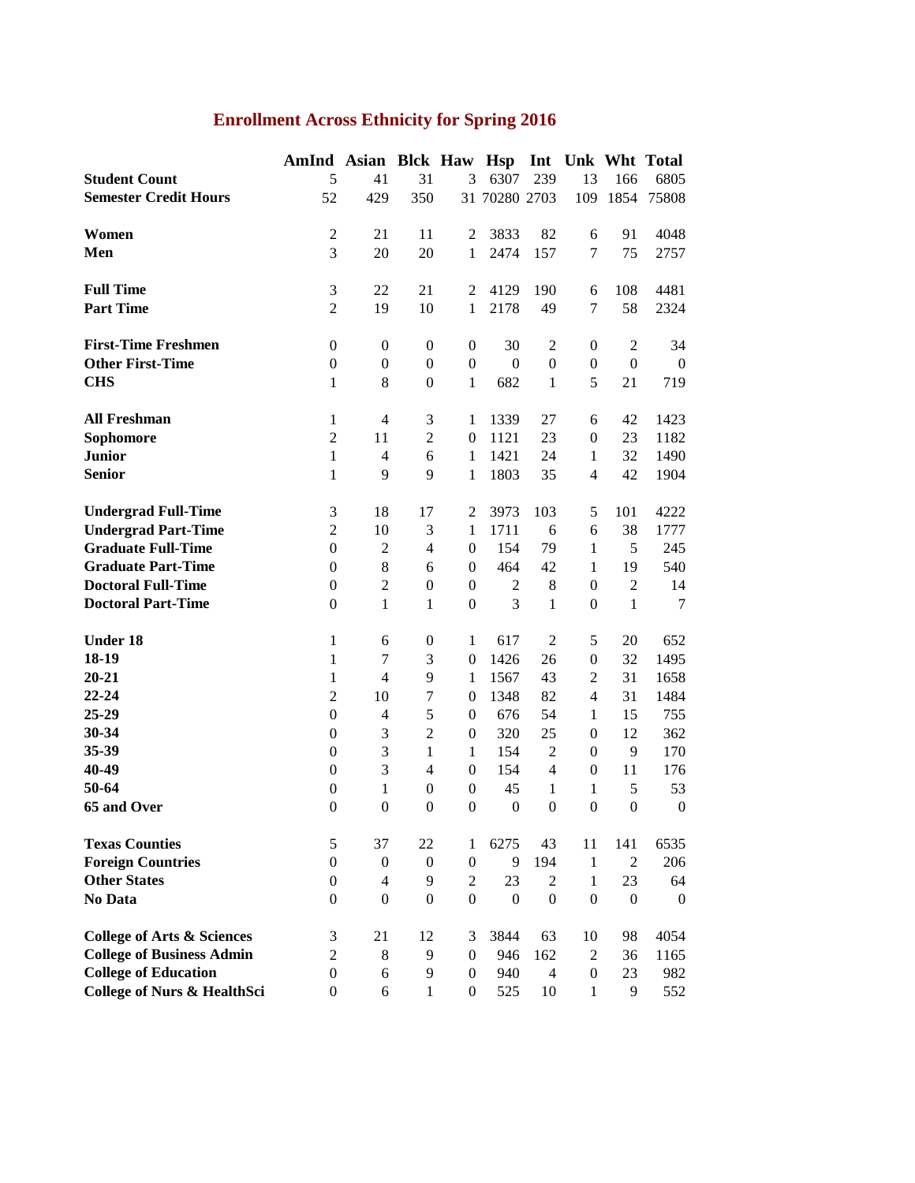# **Enrollment Across Ethnicity for Spring 2016**

|                                        | AmInd            | Asian Blck Haw Hsp |                  |                  |                  |                  |                                  |                  | Int Unk Wht Total |
|----------------------------------------|------------------|--------------------|------------------|------------------|------------------|------------------|----------------------------------|------------------|-------------------|
| <b>Student Count</b>                   | 5                | 41                 | 31               | 3                | 6307             | 239              | 13                               | 166              | 6805              |
| <b>Semester Credit Hours</b>           | 52               | 429                | 350              |                  | 31 70280 2703    |                  | 109                              | 1854             | 75808             |
|                                        |                  |                    |                  |                  |                  |                  |                                  |                  |                   |
| Women                                  | $\boldsymbol{2}$ | 21                 | 11               | 2                | 3833             | 82               | 6                                | 91               | 4048              |
| Men                                    | 3                | 20                 | 20               | $\mathbf{1}$     | 2474             | 157              | 7                                | 75               | 2757              |
|                                        |                  |                    |                  |                  |                  |                  |                                  |                  |                   |
| <b>Full Time</b>                       | $\mathfrak{Z}$   | 22                 | 21               | 2                | 4129             | 190              | 6                                | 108              | 4481              |
| <b>Part Time</b>                       | $\overline{2}$   | 19                 | 10               | 1                | 2178             | 49               | $\overline{7}$                   | 58               | 2324              |
|                                        |                  |                    |                  |                  |                  |                  |                                  |                  |                   |
| <b>First-Time Freshmen</b>             | $\boldsymbol{0}$ | $\boldsymbol{0}$   | $\boldsymbol{0}$ | $\boldsymbol{0}$ | 30               | $\mathfrak{2}$   | $\boldsymbol{0}$                 | $\mathfrak{2}$   | 34                |
| <b>Other First-Time</b>                | $\boldsymbol{0}$ | $\boldsymbol{0}$   | $\boldsymbol{0}$ | $\boldsymbol{0}$ | $\boldsymbol{0}$ | $\boldsymbol{0}$ | $\boldsymbol{0}$                 | $\boldsymbol{0}$ | $\overline{0}$    |
| <b>CHS</b>                             | $\mathbf{1}$     | $\,8\,$            | $\boldsymbol{0}$ | 1                | 682              | $\mathbf{1}$     | 5                                | 21               | 719               |
|                                        |                  |                    |                  |                  |                  |                  |                                  |                  |                   |
| <b>All Freshman</b>                    | $\mathbf{1}$     | $\overline{4}$     | 3                | 1                | 1339             | 27               | 6                                | 42               | 1423              |
| Sophomore                              | $\overline{2}$   | 11                 | $\overline{c}$   | $\mathbf{0}$     | 1121             | 23               | $\boldsymbol{0}$                 | 23               | 1182              |
| <b>Junior</b>                          | $\mathbf{1}$     | $\overline{4}$     | 6                | 1                | 1421             | 24               | $\mathbf{1}$                     | 32               | 1490              |
| <b>Senior</b>                          | $\mathbf{1}$     | 9                  | 9                | 1                | 1803             | 35               | $\overline{4}$                   | 42               | 1904              |
|                                        |                  |                    |                  |                  |                  |                  |                                  |                  |                   |
| <b>Undergrad Full-Time</b>             | $\mathfrak{Z}$   | 18                 | 17               | $\overline{c}$   | 3973             | 103              | 5                                | 101              | 4222              |
| <b>Undergrad Part-Time</b>             | $\overline{2}$   | 10                 | 3                | $\mathbf{1}$     | 1711             | 6                | 6                                | 38               | 1777              |
| <b>Graduate Full-Time</b>              | $\mathbf{0}$     | $\mathfrak{2}$     | $\overline{4}$   | $\mathbf{0}$     | 154              | 79               | $\mathbf{1}$                     | 5                | 245               |
| <b>Graduate Part-Time</b>              | $\boldsymbol{0}$ | $\,8$              | 6                | $\mathbf{0}$     | 464              | 42               | 1                                | 19               | 540               |
| <b>Doctoral Full-Time</b>              | $\boldsymbol{0}$ | $\overline{2}$     | $\boldsymbol{0}$ | $\boldsymbol{0}$ | $\mathfrak{2}$   | $\,8$            | $\overline{0}$                   | $\overline{2}$   | 14                |
| <b>Doctoral Part-Time</b>              | $\boldsymbol{0}$ | $\mathbf{1}$       | $\mathbf{1}$     | $\boldsymbol{0}$ | 3                | $\mathbf{1}$     | $\boldsymbol{0}$                 | $\mathbf{1}$     | $\tau$            |
|                                        |                  |                    |                  |                  |                  |                  |                                  |                  |                   |
| <b>Under 18</b>                        | $\mathbf{1}$     | 6                  | $\boldsymbol{0}$ | $\mathbf{1}$     | 617              | $\mathfrak{2}$   | 5                                | 20               | 652               |
| 18-19                                  | $\mathbf{1}$     | $\tau$             | 3                | $\boldsymbol{0}$ | 1426             | 26               | $\boldsymbol{0}$                 | 32               | 1495              |
| $20 - 21$                              | $\mathbf{1}$     | $\overline{4}$     | 9                | $\mathbf{1}$     | 1567             | 43               | $\mathfrak{2}$                   | 31               | 1658              |
| 22-24                                  | $\mathbf{2}$     | 10                 | $\overline{7}$   | $\boldsymbol{0}$ | 1348             | 82               | $\overline{4}$                   | 31               | 1484              |
| 25-29                                  | $\boldsymbol{0}$ | $\overline{4}$     | 5                | $\boldsymbol{0}$ | 676              | 54               | $\mathbf{1}$                     | 15               | 755               |
| 30-34                                  | $\boldsymbol{0}$ | $\mathfrak{Z}$     | $\overline{2}$   | $\boldsymbol{0}$ | 320              | 25               | $\boldsymbol{0}$                 | 12               | 362               |
| 35-39                                  | $\boldsymbol{0}$ | 3                  | $\mathbf{1}$     | $\mathbf{1}$     | 154              | $\sqrt{2}$       | $\boldsymbol{0}$                 | 9                | 170               |
| 40-49                                  | $\boldsymbol{0}$ | 3                  | $\overline{4}$   | $\boldsymbol{0}$ | 154              | $\overline{4}$   | $\boldsymbol{0}$                 | 11               | 176               |
| 50-64                                  | $\boldsymbol{0}$ | $\mathbf{1}$       | $\boldsymbol{0}$ | $\boldsymbol{0}$ | 45               | 1                | $\mathbf{1}$                     | 5                | 53                |
| 65 and Over                            | $\boldsymbol{0}$ | $\boldsymbol{0}$   | $\boldsymbol{0}$ | $\boldsymbol{0}$ | $\mathbf{0}$     | $\boldsymbol{0}$ | $\boldsymbol{0}$                 | $\boldsymbol{0}$ | $\boldsymbol{0}$  |
|                                        |                  |                    |                  |                  |                  |                  |                                  |                  |                   |
| <b>Texas Counties</b>                  | 5                | 37                 | 22               | 1                | 6275             | 43               | 11                               | 141              | 6535              |
| <b>Foreign Countries</b>               | $\boldsymbol{0}$ | $\boldsymbol{0}$   | $\boldsymbol{0}$ | $\boldsymbol{0}$ | 9                | 194              | $\mathbf{1}$                     | $\overline{2}$   | 206               |
| <b>Other States</b>                    | $\boldsymbol{0}$ | $\overline{4}$     | 9                | $\overline{2}$   | 23               | $\overline{2}$   | $\mathbf{1}$                     | 23               | 64                |
| No Data                                | $\boldsymbol{0}$ | $\boldsymbol{0}$   | $\boldsymbol{0}$ | $\boldsymbol{0}$ | $\boldsymbol{0}$ | $\boldsymbol{0}$ | $\boldsymbol{0}$                 | $\boldsymbol{0}$ | $\overline{0}$    |
| <b>College of Arts &amp; Sciences</b>  | $\mathfrak{Z}$   | 21                 | 12               | 3                | 3844             | 63               | 10                               | 98               | 4054              |
| <b>College of Business Admin</b>       | $\mathbf{2}$     | 8                  | 9                | $\boldsymbol{0}$ | 946              | 162              | $\overline{2}$                   | 36               | 1165              |
| <b>College of Education</b>            |                  | 6                  | 9                |                  | 940              | $\overline{4}$   |                                  | 23               |                   |
| <b>College of Nurs &amp; HealthSci</b> | $\boldsymbol{0}$ |                    | $\mathbf{1}$     | $\boldsymbol{0}$ |                  |                  | $\boldsymbol{0}$<br>$\mathbf{1}$ | 9                | 982               |
|                                        | $\boldsymbol{0}$ | 6                  |                  | $\boldsymbol{0}$ | 525              | 10               |                                  |                  | 552               |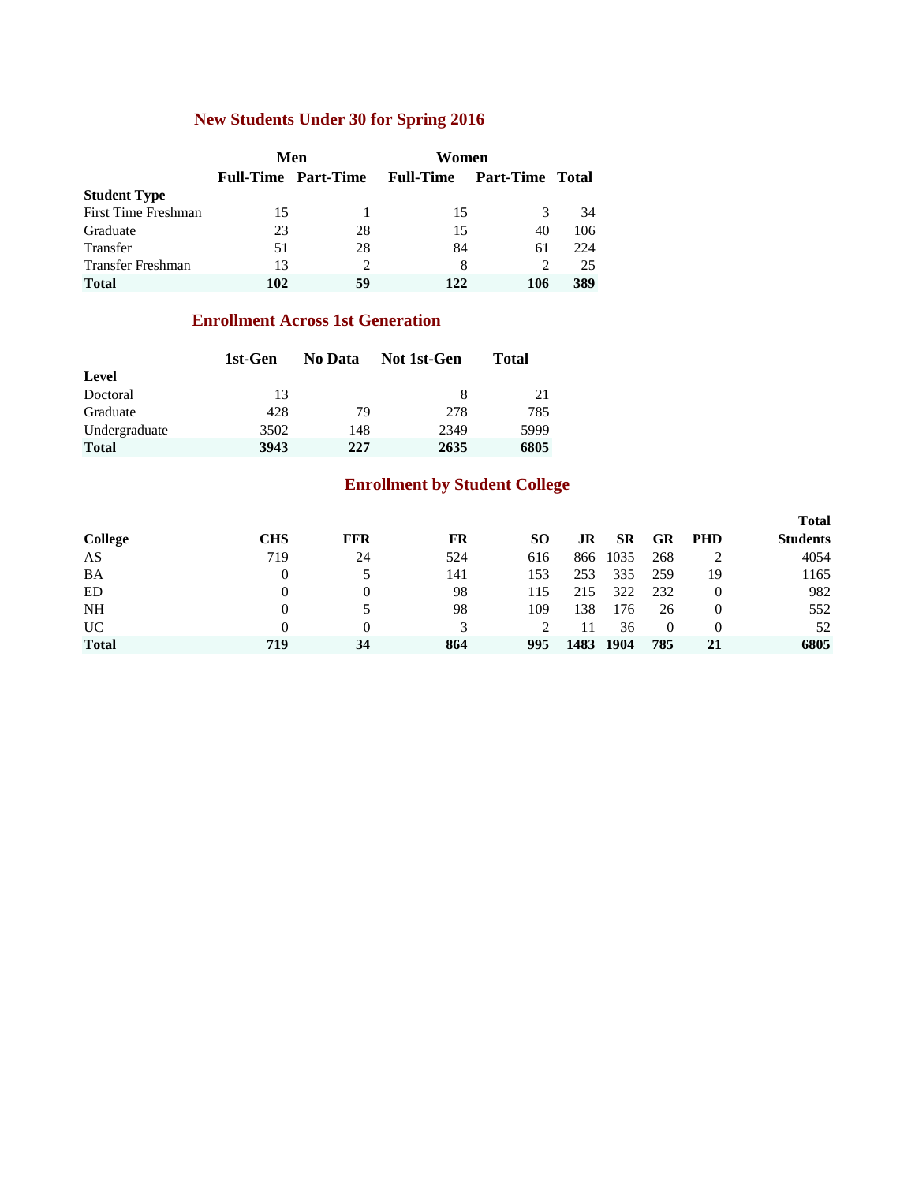### **New Students Under 30 for Spring 2016**

|                          |     | Men                        | Women            |                        |      |
|--------------------------|-----|----------------------------|------------------|------------------------|------|
|                          |     | <b>Full-Time Part-Time</b> | <b>Full-Time</b> | <b>Part-Time Total</b> |      |
| <b>Student Type</b>      |     |                            |                  |                        |      |
| First Time Freshman      | 15  |                            | 15               | 3                      | 34   |
| Graduate                 | 23  | 28                         | 15               | 40                     | 106  |
| Transfer                 | 51  | 28                         | 84               | 61                     | 22.4 |
| <b>Transfer Freshman</b> | 13  |                            | 8                | $\mathcal{D}$          | 25   |
| <b>Total</b>             | 102 | 59                         | 122              | 106                    | 389  |

### **Enrollment Across 1st Generation**

|               | 1st-Gen | No Data | Not 1st-Gen | Total |
|---------------|---------|---------|-------------|-------|
| Level         |         |         |             |       |
| Doctoral      | 13      |         | 8           | 21    |
| Graduate      | 428     | 79      | 278         | 785   |
| Undergraduate | 3502    | 148     | 2349        | 5999  |
| <b>Total</b>  | 3943    | 227     | 2635        | 6805  |

### **Enrollment by Student College**

|                |            |            |     |     |      |           |          |            | <b>Total</b>    |
|----------------|------------|------------|-----|-----|------|-----------|----------|------------|-----------------|
| <b>College</b> | <b>CHS</b> | <b>FFR</b> | FR  | SО  | JR   | <b>SR</b> | GR       | <b>PHD</b> | <b>Students</b> |
| AS             | 719        | 24         | 524 | 616 | 866  | 1035      | 268      |            | 4054            |
| BA             | 0          |            | 141 | 153 | 253  | 335       | 259      | 19         | 1165            |
| ED             | $^{(1)}$   | $\Omega$   | 98  | 115 | 215  | 322       | 232      |            | 982             |
| NH             | $^{(1)}$   |            | 98  | 109 | 138  | 176       | 26       |            | 552             |
| <b>UC</b>      | $^{(1)}$   | $\Omega$   | 3   |     | 11   | 36        | $\Omega$ | $\theta$   | 52              |
| <b>Total</b>   | 719        | 34         | 864 | 995 | 1483 | 1904      | 785      |            | 6805            |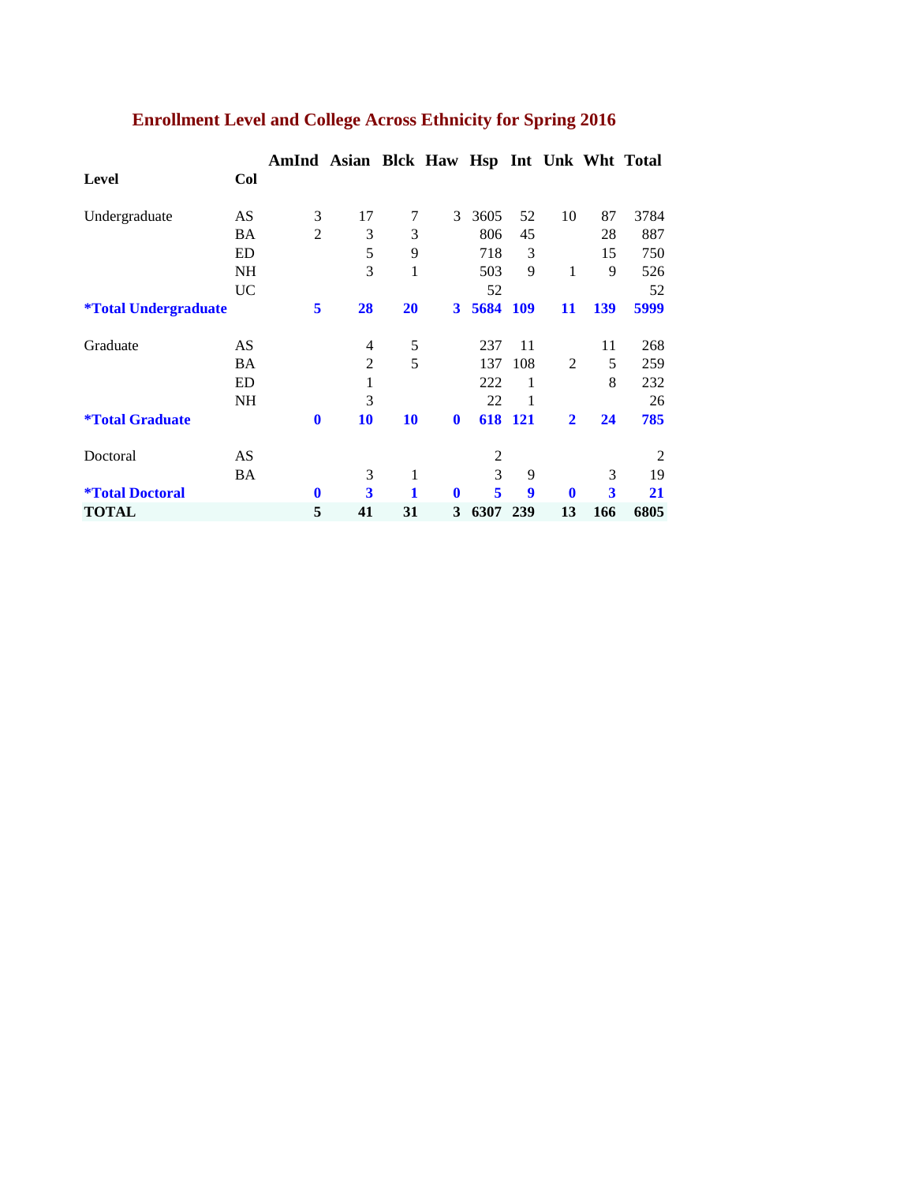|                                    |           | AmInd Asian Blck Haw Hsp Int Unk Wht Total |    |           |              |                |            |                |     |      |
|------------------------------------|-----------|--------------------------------------------|----|-----------|--------------|----------------|------------|----------------|-----|------|
| <b>Level</b>                       | Col       |                                            |    |           |              |                |            |                |     |      |
| Undergraduate                      | AS        | 3                                          | 17 | 7         | 3            | 3605           | 52         | 10             | 87  | 3784 |
|                                    | BA        | $\overline{2}$                             | 3  | 3         |              | 806            | 45         |                | 28  | 887  |
|                                    | ED        |                                            | 5  | 9         |              | 718            | 3          |                | 15  | 750  |
|                                    | <b>NH</b> |                                            | 3  | 1         |              | 503            | 9          | 1              | 9   | 526  |
|                                    | UC        |                                            |    |           |              | 52             |            |                |     | 52   |
| <i><b>*Total Undergraduate</b></i> |           | 5                                          | 28 | <b>20</b> | 3            | 5684           | <b>109</b> | 11             | 139 | 5999 |
| Graduate                           | AS        |                                            | 4  | 5         |              | 237            | 11         |                | 11  | 268  |
|                                    | <b>BA</b> |                                            | 2  | 5         |              | 137            | 108        | $\overline{2}$ | 5   | 259  |
|                                    | ED        |                                            | 1  |           |              | 222            | 1          |                | 8   | 232  |
|                                    | <b>NH</b> |                                            | 3  |           |              | 22             |            |                |     | 26   |
| <i><b>*Total Graduate</b></i>      |           | $\mathbf 0$                                | 10 | 10        | $\mathbf{0}$ |                | 618 121    | $\mathbf{2}$   | 24  | 785  |
| Doctoral                           | AS        |                                            |    |           |              | $\overline{c}$ |            |                |     | 2    |
|                                    | <b>BA</b> |                                            | 3  | 1         |              | 3              | 9          |                | 3   | 19   |
| <i><b>*Total Doctoral</b></i>      |           | $\mathbf{0}$                               | 3  | 1         | $\mathbf{0}$ | 5              | 9          | $\mathbf{0}$   | 3   | 21   |
| <b>TOTAL</b>                       |           | 5                                          | 41 | 31        | 3            | 6307           | 239        | 13             | 166 | 6805 |

# **Enrollment Level and College Across Ethnicity for Spring 2016**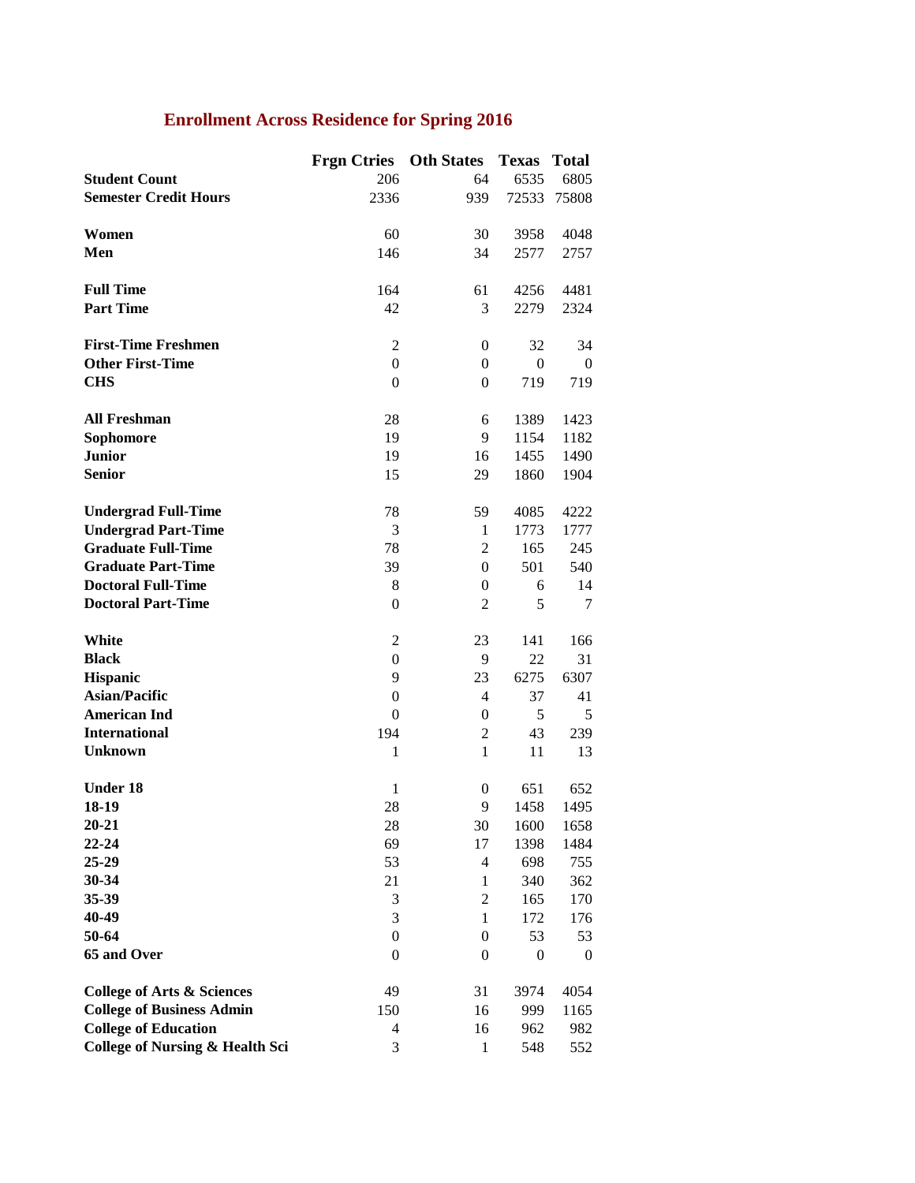# **Enrollment Across Residence for Spring 2016**

|                                            | <b>Frgn Ctries</b> | <b>Oth States</b> | <b>Texas</b>     | <b>Total</b> |
|--------------------------------------------|--------------------|-------------------|------------------|--------------|
| <b>Student Count</b>                       | 206                | 64                | 6535             | 6805         |
| <b>Semester Credit Hours</b>               | 2336               | 939               | 72533            | 75808        |
|                                            |                    |                   |                  |              |
| Women                                      | 60                 | 30                | 3958             | 4048         |
| Men                                        | 146                | 34                | 2577             | 2757         |
|                                            |                    |                   |                  |              |
| <b>Full Time</b>                           | 164                | 61                | 4256             | 4481         |
| <b>Part Time</b>                           | 42                 | 3                 | 2279             | 2324         |
|                                            |                    |                   |                  |              |
| <b>First-Time Freshmen</b>                 | $\overline{c}$     | $\theta$          | 32               | 34           |
| <b>Other First-Time</b>                    | $\boldsymbol{0}$   | $\theta$          | $\overline{0}$   | $\theta$     |
| <b>CHS</b>                                 | $\boldsymbol{0}$   |                   |                  |              |
|                                            |                    | $\boldsymbol{0}$  | 719              | 719          |
|                                            |                    |                   |                  |              |
| <b>All Freshman</b>                        | 28                 | 6                 | 1389             | 1423         |
| Sophomore                                  | 19                 | 9                 | 1154             | 1182         |
| <b>Junior</b>                              | 19                 | 16                | 1455             | 1490         |
| <b>Senior</b>                              | 15                 | 29                | 1860             | 1904         |
|                                            |                    |                   |                  |              |
| <b>Undergrad Full-Time</b>                 | 78                 | 59                | 4085             | 4222         |
| <b>Undergrad Part-Time</b>                 | 3                  | 1                 | 1773             | 1777         |
| <b>Graduate Full-Time</b>                  | 78                 | 2                 | 165              | 245          |
| <b>Graduate Part-Time</b>                  | 39                 | $\mathbf{0}$      | 501              | 540          |
| <b>Doctoral Full-Time</b>                  | 8                  | $\boldsymbol{0}$  | 6                | 14           |
| <b>Doctoral Part-Time</b>                  | $\mathbf{0}$       | $\overline{2}$    | 5                | 7            |
|                                            |                    |                   |                  |              |
| White                                      | 2                  | 23                | 141              | 166          |
| <b>Black</b>                               | $\boldsymbol{0}$   | 9                 | 22               | 31           |
| <b>Hispanic</b>                            | 9                  | 23                | 6275             | 6307         |
| <b>Asian/Pacific</b>                       | $\boldsymbol{0}$   | 4                 | 37               | 41           |
| <b>American Ind</b>                        | $\mathbf{0}$       | $\boldsymbol{0}$  | 5                | 5            |
| <b>International</b>                       | 194                | $\overline{2}$    | 43               | 239          |
| <b>Unknown</b>                             | $\mathbf{1}$       | $\mathbf{1}$      | 11               | 13           |
|                                            |                    |                   |                  |              |
| <b>Under 18</b>                            | 1                  | $\boldsymbol{0}$  | 651              | 652          |
| 18-19                                      | 28                 | 9                 | 1458             | 1495         |
| 20-21                                      | 28                 | 30                | 1600             | 1658         |
| $22 - 24$                                  | 69                 | 17                | 1398             | 1484         |
| 25-29                                      | 53                 | 4                 | 698              | 755          |
| 30-34                                      | 21                 | $\mathbf{1}$      | 340              | 362          |
| 35-39                                      | 3                  | $\overline{2}$    | 165              | 170          |
| 40-49                                      | 3                  | $\mathbf{1}$      | 172              | 176          |
| 50-64                                      | $\boldsymbol{0}$   | $\boldsymbol{0}$  | 53               | 53           |
| 65 and Over                                | $\theta$           | $\mathbf{0}$      | $\boldsymbol{0}$ | $\theta$     |
|                                            |                    |                   |                  |              |
| <b>College of Arts &amp; Sciences</b>      | 49                 | 31                | 3974             | 4054         |
| <b>College of Business Admin</b>           | 150                | 16                | 999              | 1165         |
| <b>College of Education</b>                | 4                  | 16                | 962              | 982          |
|                                            | 3                  | $\mathbf{1}$      | 548              |              |
| <b>College of Nursing &amp; Health Sci</b> |                    |                   |                  | 552          |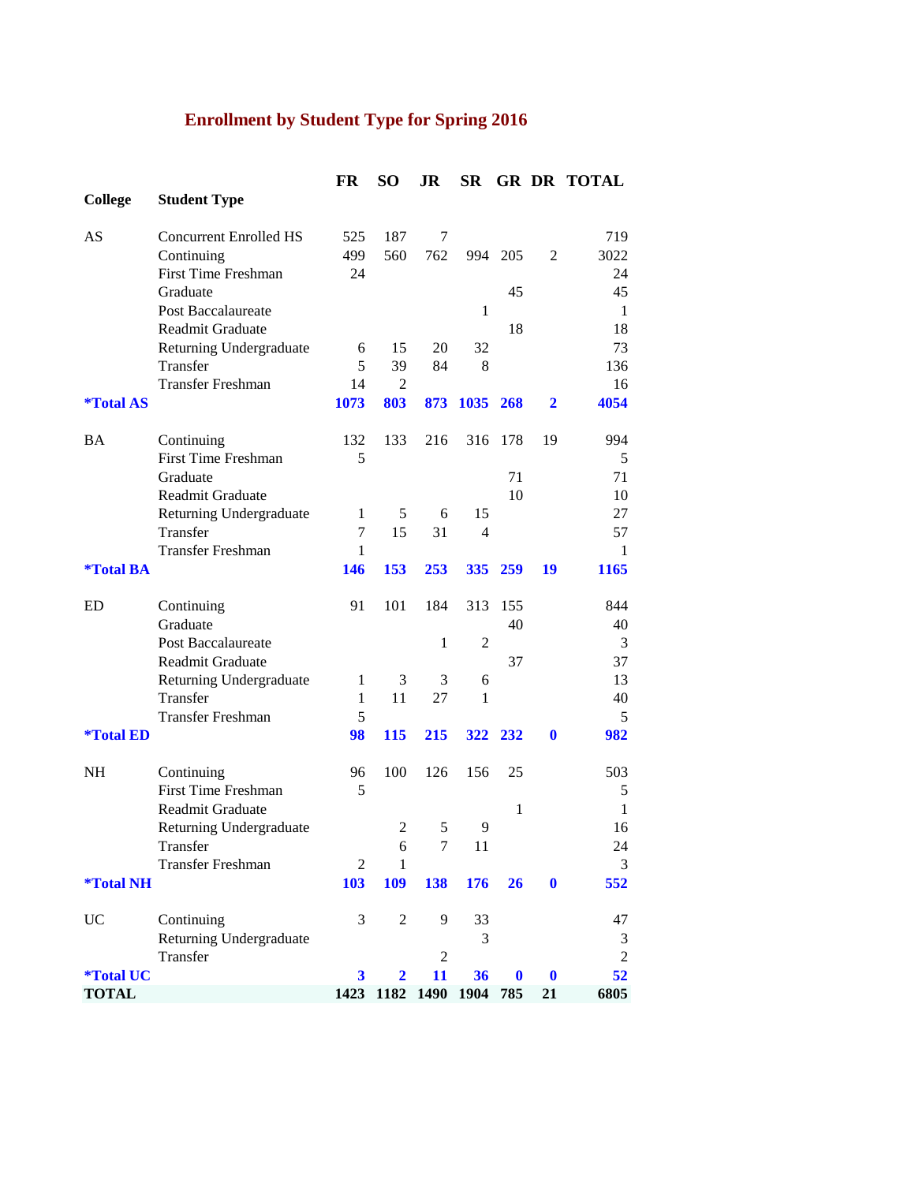# **Enrollment by Student Type for Spring 2016**

|                         |                                                    | FR             | <b>SO</b>      | JR             | <b>SR</b>      |              |                  | <b>GR DR TOTAL</b> |
|-------------------------|----------------------------------------------------|----------------|----------------|----------------|----------------|--------------|------------------|--------------------|
| <b>College</b>          | <b>Student Type</b>                                |                |                |                |                |              |                  |                    |
| AS                      | <b>Concurrent Enrolled HS</b>                      | 525            | 187            | 7              |                |              |                  | 719                |
|                         | Continuing                                         | 499            | 560            | 762            |                | 994 205      | $\overline{2}$   | 3022               |
|                         | <b>First Time Freshman</b>                         | 24             |                |                |                |              |                  | 24                 |
|                         | Graduate<br>Post Baccalaureate                     |                |                |                | 1              | 45           |                  | 45<br>1            |
|                         | <b>Readmit Graduate</b>                            |                |                |                |                | 18           |                  | 18                 |
|                         | Returning Undergraduate                            | 6              | 15             | 20             | 32             |              |                  | 73                 |
|                         | Transfer                                           | 5              | 39             | 84             | 8              |              |                  | 136                |
|                         | <b>Transfer Freshman</b>                           | 14             | 2              |                |                |              |                  | 16                 |
| <i><b>*Total AS</b></i> |                                                    | 1073           | 803            | 873            | 1035 268       |              | $\mathbf{2}$     | 4054               |
| BA                      | Continuing                                         | 132            | 133            | 216            | 316            | 178          | 19               | 994                |
|                         | <b>First Time Freshman</b>                         | 5              |                |                |                |              |                  | 5                  |
|                         | Graduate<br>Readmit Graduate                       |                |                |                |                | 71<br>10     |                  | 71<br>10           |
|                         | Returning Undergraduate                            | $\mathbf{1}$   | 5              | 6              | 15             |              |                  | 27                 |
|                         | Transfer                                           | 7              | 15             | 31             | 4              |              |                  | 57                 |
|                         | <b>Transfer Freshman</b>                           | 1              |                |                |                |              |                  | 1                  |
| <i><b>*Total BA</b></i> |                                                    | 146            | 153            | 253            | 335            | 259          | 19               | 1165               |
| ED                      | Continuing                                         | 91             | 101            | 184            | 313            | 155          |                  | 844                |
|                         | Graduate                                           |                |                |                |                | 40           |                  | 40                 |
|                         | <b>Post Baccalaureate</b>                          |                |                | 1              | $\overline{2}$ |              |                  | 3                  |
|                         | <b>Readmit Graduate</b><br>Returning Undergraduate | 1              | 3              | 3              | 6              | 37           |                  | 37<br>13           |
|                         | Transfer                                           | 1              | 11             | 27             | $\mathbf{1}$   |              |                  | 40                 |
|                         | <b>Transfer Freshman</b>                           | 5              |                |                |                |              |                  | 5                  |
| <i><b>*Total ED</b></i> |                                                    | 98             | <b>115</b>     | 215            |                | 322 232      | $\bf{0}$         | 982                |
| <b>NH</b>               | Continuing                                         | 96             | 100            | 126            | 156            | 25           |                  | 503                |
|                         | First Time Freshman                                | 5              |                |                |                |              |                  | 5                  |
|                         | <b>Readmit Graduate</b>                            |                |                |                |                | $\mathbf{1}$ |                  | $\mathbf{1}$       |
|                         | Returning Undergraduate<br>Transfer                |                | $\overline{2}$ | 5<br>$\tau$    | 9              |              |                  | 16                 |
|                         | <b>Transfer Freshman</b>                           | $\overline{2}$ | 6<br>1         |                | 11             |              |                  | 24<br>3            |
| <i><b>*Total NH</b></i> |                                                    | 103            | 109            | 138            | 176            | 26           | $\mathbf 0$      | 552                |
| UC                      | Continuing                                         | 3              | 2              | 9              | 33             |              |                  | 47                 |
|                         | Returning Undergraduate                            |                |                |                | 3              |              |                  | 3                  |
|                         | Transfer                                           |                |                | $\overline{c}$ |                |              |                  | $\overline{2}$     |
| <i><b>*Total UC</b></i> |                                                    | 3              | $\mathbf{2}$   | 11             | 36             | $\bf{0}$     | $\boldsymbol{0}$ | 52                 |
| <b>TOTAL</b>            |                                                    | 1423           | 1182           | 1490           | 1904           | 785          | 21               | 6805               |